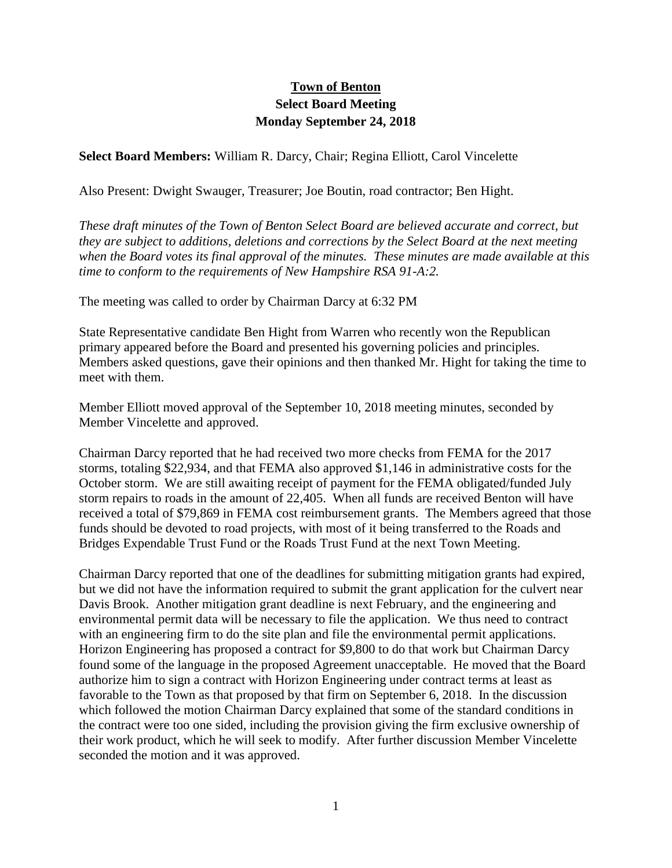## **Town of Benton Select Board Meeting Monday September 24, 2018**

**Select Board Members:** William R. Darcy, Chair; Regina Elliott, Carol Vincelette

Also Present: Dwight Swauger, Treasurer; Joe Boutin, road contractor; Ben Hight.

*These draft minutes of the Town of Benton Select Board are believed accurate and correct, but they are subject to additions, deletions and corrections by the Select Board at the next meeting when the Board votes its final approval of the minutes. These minutes are made available at this time to conform to the requirements of New Hampshire RSA 91-A:2.*

The meeting was called to order by Chairman Darcy at 6:32 PM

State Representative candidate Ben Hight from Warren who recently won the Republican primary appeared before the Board and presented his governing policies and principles. Members asked questions, gave their opinions and then thanked Mr. Hight for taking the time to meet with them.

Member Elliott moved approval of the September 10, 2018 meeting minutes, seconded by Member Vincelette and approved.

Chairman Darcy reported that he had received two more checks from FEMA for the 2017 storms, totaling \$22,934, and that FEMA also approved \$1,146 in administrative costs for the October storm. We are still awaiting receipt of payment for the FEMA obligated/funded July storm repairs to roads in the amount of 22,405. When all funds are received Benton will have received a total of \$79,869 in FEMA cost reimbursement grants. The Members agreed that those funds should be devoted to road projects, with most of it being transferred to the Roads and Bridges Expendable Trust Fund or the Roads Trust Fund at the next Town Meeting.

Chairman Darcy reported that one of the deadlines for submitting mitigation grants had expired, but we did not have the information required to submit the grant application for the culvert near Davis Brook. Another mitigation grant deadline is next February, and the engineering and environmental permit data will be necessary to file the application. We thus need to contract with an engineering firm to do the site plan and file the environmental permit applications. Horizon Engineering has proposed a contract for \$9,800 to do that work but Chairman Darcy found some of the language in the proposed Agreement unacceptable. He moved that the Board authorize him to sign a contract with Horizon Engineering under contract terms at least as favorable to the Town as that proposed by that firm on September 6, 2018. In the discussion which followed the motion Chairman Darcy explained that some of the standard conditions in the contract were too one sided, including the provision giving the firm exclusive ownership of their work product, which he will seek to modify. After further discussion Member Vincelette seconded the motion and it was approved.